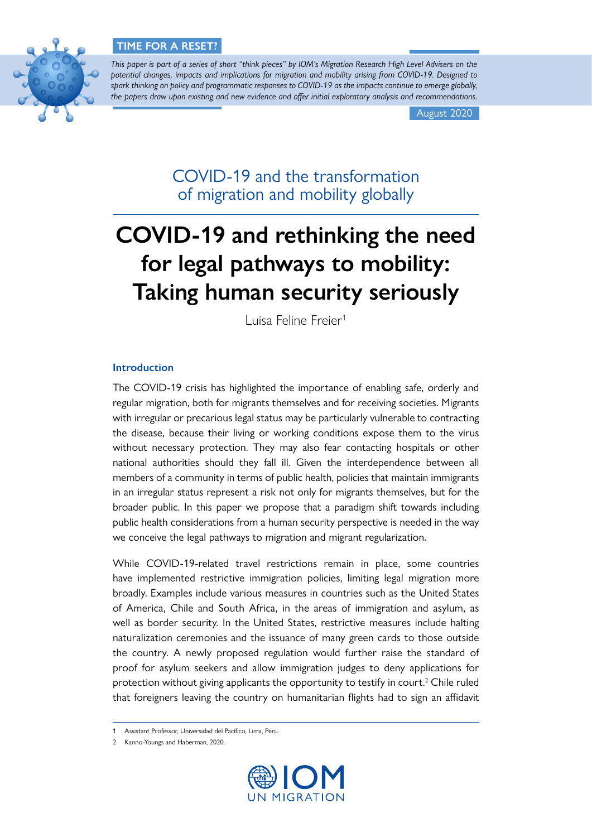

*This paper is part of a series of short "think pieces" by IOM's Migration Research High Level Advisers on the potential changes, impacts and implications for migration and mobility arising from COVID-19. Designed to spark thinking on policy and programmatic responses to COVID-19 as the impacts continue to emerge globally, the papers draw upon existing and new evidence and offer initial exploratory analysis and recommendations.*

August 2020

COVID-19 and the transformation of migration and mobility globally

# **COVID-19 and rethinking the need for legal pathways to mobility: Taking human security seriously**

Luisa Feline Freier<sup>1</sup>

# **Introduction**

The COVID-19 crisis has highlighted the importance of enabling safe, orderly and regular migration, both for migrants themselves and for receiving societies. Migrants with irregular or precarious legal status may be particularly vulnerable to contracting the disease, because their living or working conditions expose them to the virus without necessary protection. They may also fear contacting hospitals or other national authorities should they fall ill. Given the interdependence between all members of a community in terms of public health, policies that maintain immigrants in an irregular status represent a risk not only for migrants themselves, but for the broader public. In this paper we propose that a paradigm shift towards including public health considerations from a human security perspective is needed in the way we conceive the legal pathways to migration and migrant regularization.

While COVID-19-related travel restrictions remain in place, some countries have implemented restrictive immigration policies, limiting legal migration more broadly. Examples include various measures in countries such as the United States of America, Chile and South Africa, in the areas of immigration and asylum, as well as border security. In the United States, restrictive measures include halting naturalization ceremonies and the issuance of many green cards to those outside the country. A newly proposed regulation would further raise the standard of proof for asylum seekers and allow immigration judges to deny applications for protection without giving applicants the opportunity to testify in court.<sup>2</sup> Chile ruled that foreigners leaving the country on humanitarian flights had to sign an affidavit

<sup>2</sup> Kanno-Youngs and Haberman, 2020.



<sup>1</sup> Assistant Professor, Universidad del Pacífico, Lima, Peru.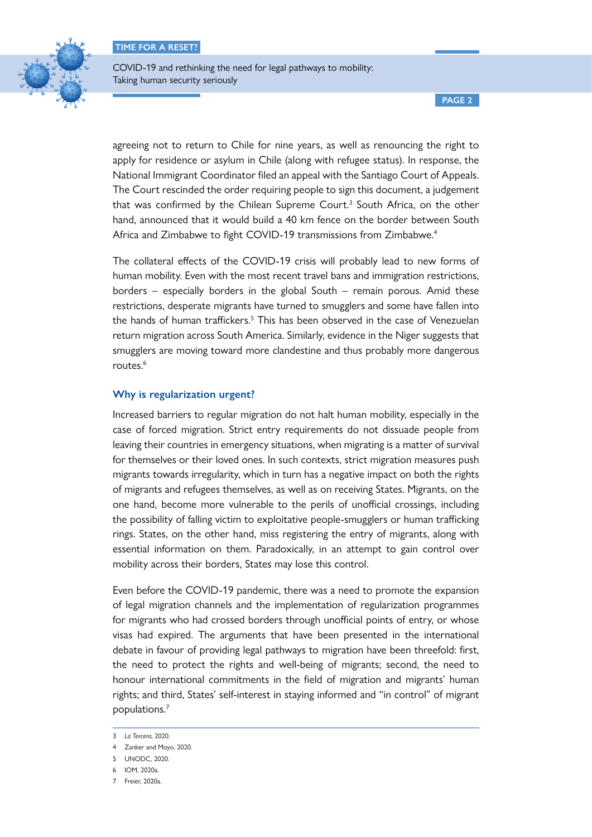

COVID-19 and rethinking the need for legal pathways to mobility: Taking human security seriously

**PAGE 2**

agreeing not to return to Chile for nine years, as well as renouncing the right to apply for residence or asylum in Chile (along with refugee status). In response, the National Immigrant Coordinator filed an appeal with the Santiago Court of Appeals. The Court rescinded the order requiring people to sign this document, a judgement that was confirmed by the Chilean Supreme Court.<sup>3</sup> South Africa, on the other hand, announced that it would build a 40 km fence on the border between South Africa and Zimbabwe to fight COVID-19 transmissions from Zimbabwe.<sup>4</sup>

The collateral effects of the COVID-19 crisis will probably lead to new forms of human mobility. Even with the most recent travel bans and immigration restrictions, borders – especially borders in the global South – remain porous. Amid these restrictions, desperate migrants have turned to smugglers and some have fallen into the hands of human traffickers.<sup>5</sup> This has been observed in the case of Venezuelan return migration across South America. Similarly, evidence in the Niger suggests that smugglers are moving toward more clandestine and thus probably more dangerous routes.<sup>6</sup>

# **Why is regularization urgent?**

Increased barriers to regular migration do not halt human mobility, especially in the case of forced migration. Strict entry requirements do not dissuade people from leaving their countries in emergency situations, when migrating is a matter of survival for themselves or their loved ones. In such contexts, strict migration measures push migrants towards irregularity, which in turn has a negative impact on both the rights of migrants and refugees themselves, as well as on receiving States. Migrants, on the one hand, become more vulnerable to the perils of unofficial crossings, including the possibility of falling victim to exploitative people-smugglers or human trafficking rings. States, on the other hand, miss registering the entry of migrants, along with essential information on them. Paradoxically, in an attempt to gain control over mobility across their borders, States may lose this control.

Even before the COVID-19 pandemic, there was a need to promote the expansion of legal migration channels and the implementation of regularization programmes for migrants who had crossed borders through unofficial points of entry, or whose visas had expired. The arguments that have been presented in the international debate in favour of providing legal pathways to migration have been threefold: first, the need to protect the rights and well-being of migrants; second, the need to honour international commitments in the field of migration and migrants' human rights; and third, States' self-interest in staying informed and "in control" of migrant populations.7

<sup>3</sup> *La Tercera*, 2020.

<sup>4</sup> Zanker and Moyo, 2020.

<sup>5</sup> UNODC, 2020.

<sup>6</sup> IOM, 2020a.

<sup>7</sup> Freier, 2020a.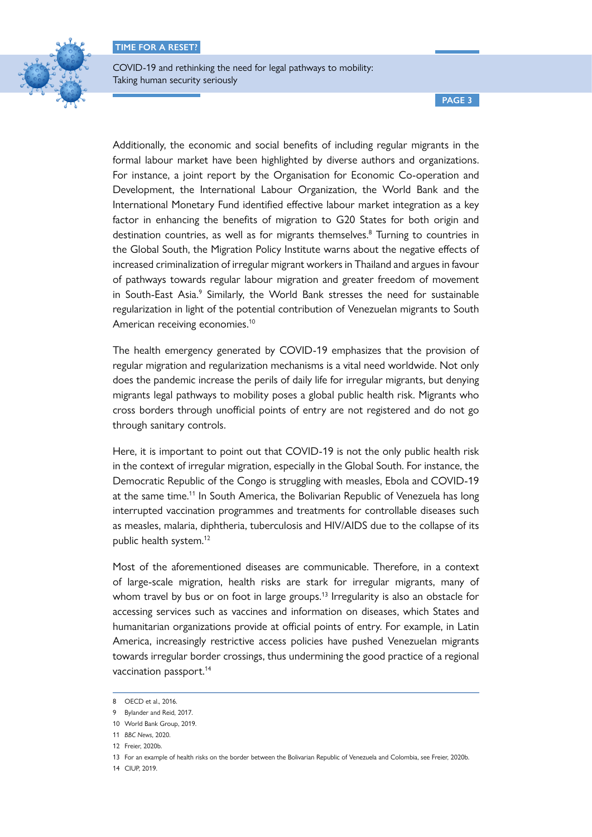

**PAGE 3**

Additionally, the economic and social benefits of including regular migrants in the formal labour market have been highlighted by diverse authors and organizations. For instance, a joint report by the Organisation for Economic Co-operation and Development, the International Labour Organization, the World Bank and the International Monetary Fund identified effective labour market integration as a key factor in enhancing the benefits of migration to G20 States for both origin and destination countries, as well as for migrants themselves.<sup>8</sup> Turning to countries in the Global South, the Migration Policy Institute warns about the negative effects of increased criminalization of irregular migrant workers in Thailand and argues in favour of pathways towards regular labour migration and greater freedom of movement in South-East Asia.<sup>9</sup> Similarly, the World Bank stresses the need for sustainable regularization in light of the potential contribution of Venezuelan migrants to South American receiving economies.<sup>10</sup>

The health emergency generated by COVID-19 emphasizes that the provision of regular migration and regularization mechanisms is a vital need worldwide. Not only does the pandemic increase the perils of daily life for irregular migrants, but denying migrants legal pathways to mobility poses a global public health risk. Migrants who cross borders through unofficial points of entry are not registered and do not go through sanitary controls.

Here, it is important to point out that COVID-19 is not the only public health risk in the context of irregular migration, especially in the Global South. For instance, the Democratic Republic of the Congo is struggling with measles, Ebola and COVID-19 at the same time.<sup>11</sup> In South America, the Bolivarian Republic of Venezuela has long interrupted vaccination programmes and treatments for controllable diseases such as measles, malaria, diphtheria, tuberculosis and HIV/AIDS due to the collapse of its public health system.12

Most of the aforementioned diseases are communicable. Therefore, in a context of large-scale migration, health risks are stark for irregular migrants, many of whom travel by bus or on foot in large groups.<sup>13</sup> Irregularity is also an obstacle for accessing services such as vaccines and information on diseases, which States and humanitarian organizations provide at official points of entry. For example, in Latin America, increasingly restrictive access policies have pushed Venezuelan migrants towards irregular border crossings, thus undermining the good practice of a regional vaccination passport.<sup>14</sup>

14 CIUP, 2019.

<sup>8</sup> OECD et al., 2016.

<sup>9</sup> Bylander and Reid, 2017.

<sup>10</sup> World Bank Group, 2019.

<sup>11</sup> *BBC News*, 2020.

<sup>12</sup> Freier, 2020b.

<sup>13</sup> For an example of health risks on the border between the Bolivarian Republic of Venezuela and Colombia, see Freier, 2020b.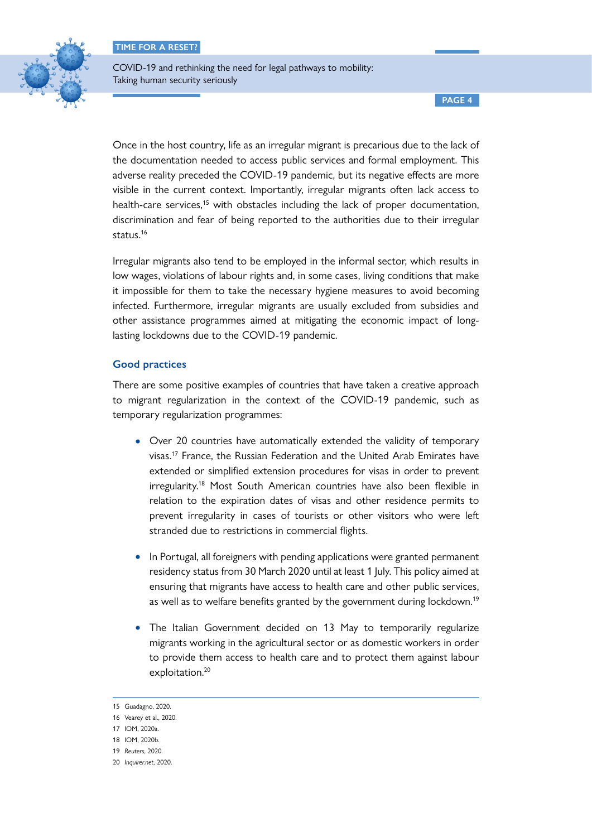

COVID-19 and rethinking the need for legal pathways to mobility: Taking human security seriously

**PAGE 4**

Once in the host country, life as an irregular migrant is precarious due to the lack of the documentation needed to access public services and formal employment. This adverse reality preceded the COVID-19 pandemic, but its negative effects are more visible in the current context. Importantly, irregular migrants often lack access to health-care services,<sup>15</sup> with obstacles including the lack of proper documentation, discrimination and fear of being reported to the authorities due to their irregular status.<sup>16</sup>

Irregular migrants also tend to be employed in the informal sector, which results in low wages, violations of labour rights and, in some cases, living conditions that make it impossible for them to take the necessary hygiene measures to avoid becoming infected. Furthermore, irregular migrants are usually excluded from subsidies and other assistance programmes aimed at mitigating the economic impact of longlasting lockdowns due to the COVID-19 pandemic.

# **Good practices**

There are some positive examples of countries that have taken a creative approach to migrant regularization in the context of the COVID-19 pandemic, such as temporary regularization programmes:

- Over 20 countries have automatically extended the validity of temporary visas.17 France, the Russian Federation and the United Arab Emirates have extended or simplified extension procedures for visas in order to prevent irregularity.18 Most South American countries have also been flexible in relation to the expiration dates of visas and other residence permits to prevent irregularity in cases of tourists or other visitors who were left stranded due to restrictions in commercial flights.
- In Portugal, all foreigners with pending applications were granted permanent residency status from 30 March 2020 until at least 1 July. This policy aimed at ensuring that migrants have access to health care and other public services, as well as to welfare benefits granted by the government during lockdown.<sup>19</sup>
- The Italian Government decided on 13 May to temporarily regularize migrants working in the agricultural sector or as domestic workers in order to provide them access to health care and to protect them against labour exploitation.<sup>20</sup>

<sup>15</sup> Guadagno, 2020.

<sup>16</sup> Vearey et al., 2020.

<sup>17</sup> IOM, 2020a.

<sup>18</sup> IOM, 2020b.

<sup>19</sup> *Reuters*, 2020.

<sup>20</sup> *Inquirer.net*, 2020.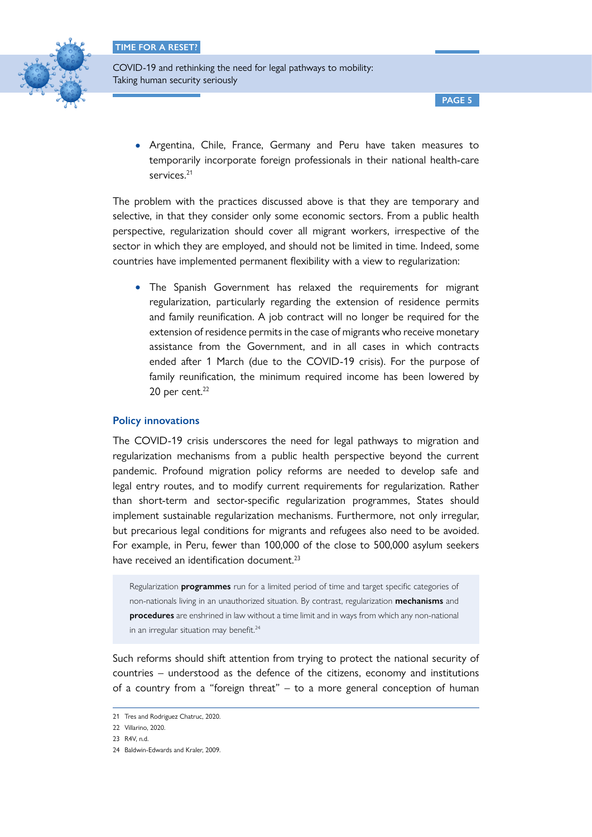

• Argentina, Chile, France, Germany and Peru have taken measures to temporarily incorporate foreign professionals in their national health-care services.<sup>21</sup>

The problem with the practices discussed above is that they are temporary and selective, in that they consider only some economic sectors. From a public health perspective, regularization should cover all migrant workers, irrespective of the sector in which they are employed, and should not be limited in time. Indeed, some countries have implemented permanent flexibility with a view to regularization:

• The Spanish Government has relaxed the requirements for migrant regularization, particularly regarding the extension of residence permits and family reunification. A job contract will no longer be required for the extension of residence permits in the case of migrants who receive monetary assistance from the Government, and in all cases in which contracts ended after 1 March (due to the COVID-19 crisis). For the purpose of family reunification, the minimum required income has been lowered by 20 per cent. $22$ 

# **Policy innovations**

The COVID-19 crisis underscores the need for legal pathways to migration and regularization mechanisms from a public health perspective beyond the current pandemic. Profound migration policy reforms are needed to develop safe and legal entry routes, and to modify current requirements for regularization. Rather than short-term and sector-specific regularization programmes, States should implement sustainable regularization mechanisms. Furthermore, not only irregular, but precarious legal conditions for migrants and refugees also need to be avoided. For example, in Peru, fewer than 100,000 of the close to 500,000 asylum seekers have received an identification document.<sup>23</sup>

Regularization **programmes** run for a limited period of time and target specific categories of non-nationals living in an unauthorized situation. By contrast, regularization **mechanisms** and **procedures** are enshrined in law without a time limit and in ways from which any non-national in an irregular situation may benefit.<sup>24</sup>

Such reforms should shift attention from trying to protect the national security of countries – understood as the defence of the citizens, economy and institutions of a country from a "foreign threat" – to a more general conception of human

<sup>21</sup> Tres and Rodriguez Chatruc, 2020.

<sup>22</sup> Villarino, 2020.

<sup>23</sup> R4V, n.d.

<sup>24</sup> Baldwin-Edwards and Kraler, 2009.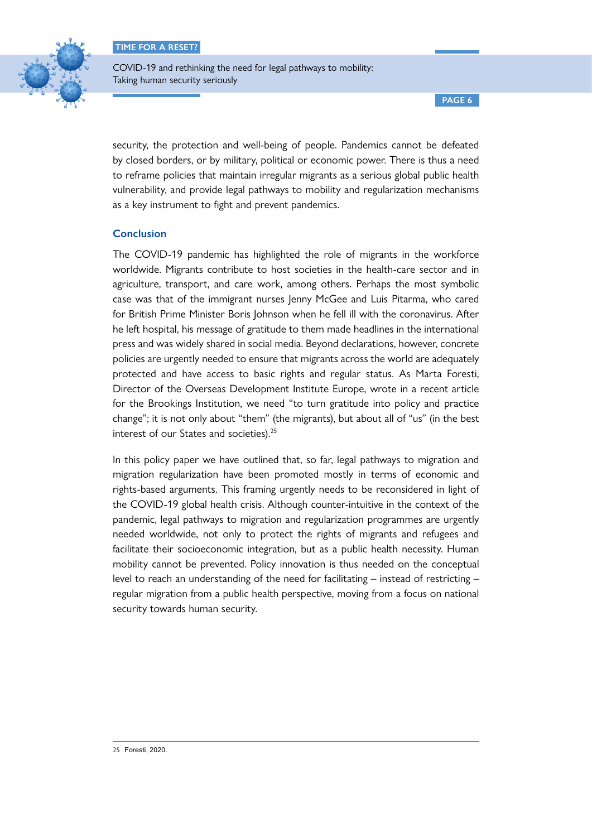

COVID-19 and rethinking the need for legal pathways to mobility: Taking human security seriously

**PAGE 6**

security, the protection and well-being of people. Pandemics cannot be defeated by closed borders, or by military, political or economic power. There is thus a need to reframe policies that maintain irregular migrants as a serious global public health vulnerability, and provide legal pathways to mobility and regularization mechanisms as a key instrument to fight and prevent pandemics.

# **Conclusion**

The COVID-19 pandemic has highlighted the role of migrants in the workforce worldwide. Migrants contribute to host societies in the health-care sector and in agriculture, transport, and care work, among others. Perhaps the most symbolic case was that of the immigrant nurses Jenny McGee and Luis Pitarma, who cared for British Prime Minister Boris Johnson when he fell ill with the coronavirus. After he left hospital, his message of gratitude to them made headlines in the international press and was widely shared in social media. Beyond declarations, however, concrete policies are urgently needed to ensure that migrants across the world are adequately protected and have access to basic rights and regular status. As Marta Foresti, Director of the Overseas Development Institute Europe, wrote in a recent article for the Brookings Institution, we need "to turn gratitude into policy and practice change"; it is not only about "them" (the migrants), but about all of "us" (in the best interest of our States and societies).<sup>25</sup>

In this policy paper we have outlined that, so far, legal pathways to migration and migration regularization have been promoted mostly in terms of economic and rights-based arguments. This framing urgently needs to be reconsidered in light of the COVID-19 global health crisis. Although counter-intuitive in the context of the pandemic, legal pathways to migration and regularization programmes are urgently needed worldwide, not only to protect the rights of migrants and refugees and facilitate their socioeconomic integration, but as a public health necessity. Human mobility cannot be prevented. Policy innovation is thus needed on the conceptual level to reach an understanding of the need for facilitating – instead of restricting – regular migration from a public health perspective, moving from a focus on national security towards human security.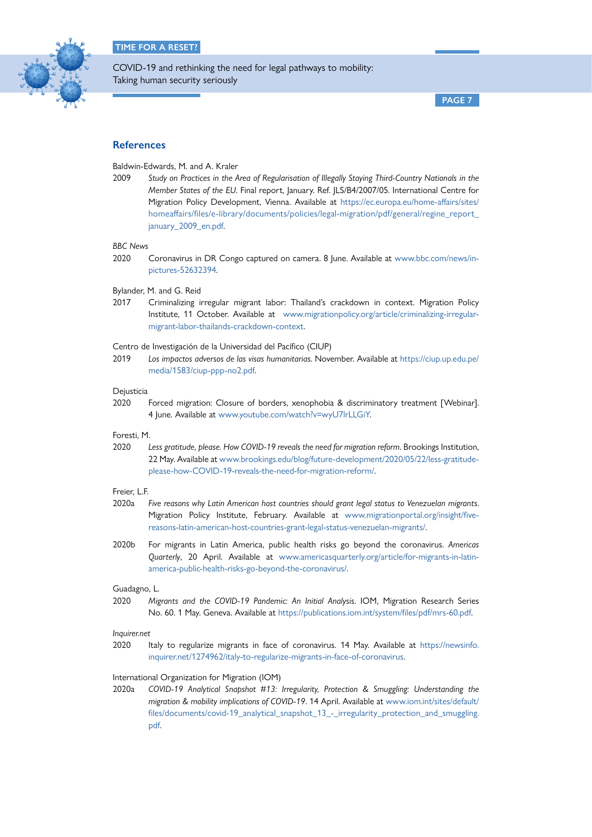

**PAGE 7**

# **References**

Baldwin-Edwards, M. and A. Kraler

2009 *Study on Practices in the Area of Regularisation of Illegally Staying Third-Country Nationals in the Member States of the EU*. Final report, January. Ref. JLS/B4/2007/05. International Centre for Migration Policy Development, Vienna. Available at [https://ec.europa.eu/home-affairs/sites/](https://ec.europa.eu/home-affairs/sites/homeaffairs/files/e-library/documents/policies/legal-migration/pdf/general/regine_report_january_2009_en.pdf) [homeaffairs/files/e-library/documents/policies/legal-migration/pdf/general/regine\\_report\\_](https://ec.europa.eu/home-affairs/sites/homeaffairs/files/e-library/documents/policies/legal-migration/pdf/general/regine_report_january_2009_en.pdf) january 2009 en.pdf.

### *BBC News*

2020 Coronavirus in DR Congo captured on camera. 8 June. Available at [www.bbc.com/news/in](http://www.bbc.com/news/in-pictures-52632394)[pictures-52632394](http://www.bbc.com/news/in-pictures-52632394).

Bylander, M. and G. Reid

2017 Criminalizing irregular migrant labor: Thailand's crackdown in context. Migration Policy Institute, 11 October. Available at [www.migrationpolicy.org/article/criminalizing-irregular](http://www.migrationpolicy.org/article/criminalizing-irregular-migrant-labor-thailands-crackdown-context)[migrant-labor-thailands-crackdown-context](http://www.migrationpolicy.org/article/criminalizing-irregular-migrant-labor-thailands-crackdown-context).

Centro de Investigación de la Universidad del Pacífico (CIUP)

2019 *Los impactos adversos de las visas humanitarias*. November. Available at [https://ciup.up.edu.pe/](https://ciup.up.edu.pe/media/1583/ciup-ppp-no2.pdf) [media/1583/ciup-ppp-no2.pdf](https://ciup.up.edu.pe/media/1583/ciup-ppp-no2.pdf).

## Dejusticia

2020 Forced migration: Closure of borders, xenophobia & discriminatory treatment [Webinar]. 4 June. Available at [www.youtube.com/watch?v=wyU7lrLLGiY](http://www.youtube.com/watch?v=wyU7lrLLGiY).

#### Foresti, M.

2020 *Less gratitude, please. How COVID-19 reveals the need for migration reform*. Brookings Institution, 22 May. Available at [www.brookings.edu/blog/future-development/2020/05/22/less-gratitude](http://www.brookings.edu/blog/future-development/2020/05/22/less-gratitude-please-how-COVID-19-reveals-the-need-for-migration-reform/)[please-how-COVID-19-reveals-the-need-for-migration-reform/](http://www.brookings.edu/blog/future-development/2020/05/22/less-gratitude-please-how-COVID-19-reveals-the-need-for-migration-reform/).

#### Freier, L.F.

- 2020a *Five reasons why Latin American host countries should grant legal status to Venezuelan migrants*. Migration Policy Institute, February. Available at [www.migrationportal.org/insight/five](http://www.migrationportal.org/insight/five-reasons-latin-american-host-countries-grant-legal-status-venezuelan-migrants/)[reasons-latin-american-host-countries-grant-legal-status-venezuelan-migrants/.](http://www.migrationportal.org/insight/five-reasons-latin-american-host-countries-grant-legal-status-venezuelan-migrants/)
- 2020b For migrants in Latin America, public health risks go beyond the coronavirus. *Americas Quarterly*, 20 April. Available at [www.americasquarterly.org/article/for-migrants-in-latin](http://www.americasquarterly.org/article/for-migrants-in-latin-america-public-health-risks-go-beyond-the-coronavirus/)[america-public-health-risks-go-beyond-the-coronavirus/.](http://www.americasquarterly.org/article/for-migrants-in-latin-america-public-health-risks-go-beyond-the-coronavirus/)

#### Guadagno, L.

2020 *Migrants and the COVID-19 Pandemic: An Initial Analysis*. IOM, Migration Research Series No. 60. 1 May. Geneva. Available at [https://publications.iom.int/system/files/pdf/mrs-60.pdf.](https://publications.iom.int/system/files/pdf/mrs-60.pdf)

#### *Inquirer.net*

2020 Italy to regularize migrants in face of coronavirus. 14 May. Available at [https://newsinfo.](https://newsinfo.inquirer.net/1274962/italy-to-regularize-migrants-in-face-of-coronavirus) [inquirer.net/1274962/italy-to-regularize-migrants-in-face-of-coronavirus.](https://newsinfo.inquirer.net/1274962/italy-to-regularize-migrants-in-face-of-coronavirus)

#### International Organization for Migration (IOM)

2020a *COVID-19 Analytical Snapshot #13: Irregularity, Protection & Smuggling: Understanding the migration & mobility implications of COVID-19*. 14 April. Available at [www.iom.int/sites/default/](http://www.iom.int/sites/default/files/documents/covid-19_analytical_snapshot_13_-_irregularity_protection_and_smuggling.pdf) [files/documents/covid-19\\_analytical\\_snapshot\\_13\\_-\\_irregularity\\_protection\\_and\\_smuggling.](http://www.iom.int/sites/default/files/documents/covid-19_analytical_snapshot_13_-_irregularity_protection_and_smuggling.pdf) [pdf.](http://www.iom.int/sites/default/files/documents/covid-19_analytical_snapshot_13_-_irregularity_protection_and_smuggling.pdf)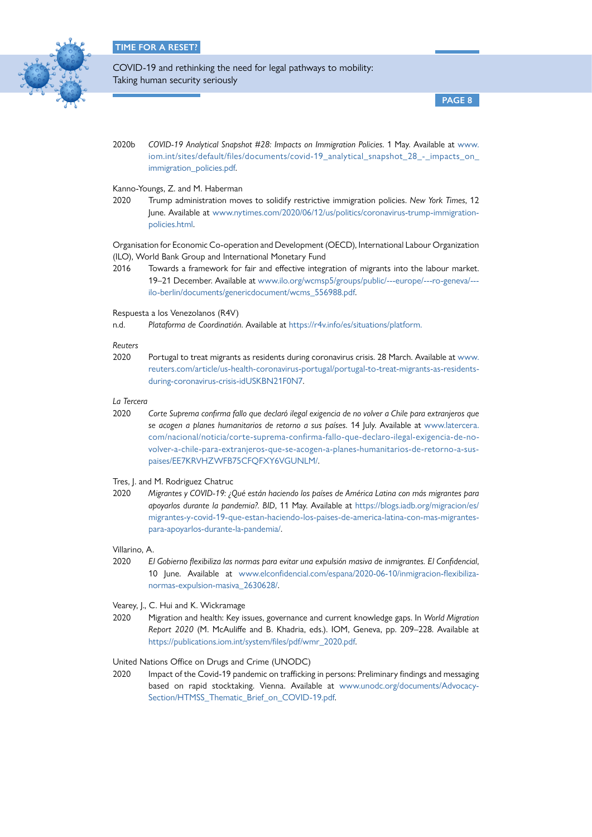

**PAGE 8**

2020b *COVID-19 Analytical Snapshot #28: Impacts on Immigration Policies*. 1 May. Available at [www.](http://www.iom.int/sites/default/files/documents/covid-19_analytical_snapshot_28_-_impacts_on_immigration_policies.pdf) [iom.int/sites/default/files/documents/covid-19\\_analytical\\_snapshot\\_28\\_-\\_impacts\\_on\\_](http://www.iom.int/sites/default/files/documents/covid-19_analytical_snapshot_28_-_impacts_on_immigration_policies.pdf) [immigration\\_policies.pdf.](http://www.iom.int/sites/default/files/documents/covid-19_analytical_snapshot_28_-_impacts_on_immigration_policies.pdf)

## Kanno-Youngs, Z. and M. Haberman

2020 Trump administration moves to solidify restrictive immigration policies. *New York Times*, 12 June. Available at [www.nytimes.com/2020/06/12/us/politics/coronavirus-trump-immigration](http://www.nytimes.com/2020/06/12/us/politics/coronavirus-trump-immigration-policies.html)[policies.html](http://www.nytimes.com/2020/06/12/us/politics/coronavirus-trump-immigration-policies.html).

Organisation for Economic Co-operation and Development (OECD), International Labour Organization (ILO), World Bank Group and International Monetary Fund

2016 Towards a framework for fair and effective integration of migrants into the labour market. 19–21 December. Available at [www.ilo.org/wcmsp5/groups/public/---europe/---ro-geneva/--](http://www.ilo.org/wcmsp5/groups/public/---europe/---ro-geneva/---ilo-berlin/documents/genericdocument/wcms_556988.pdf) [ilo-berlin/documents/genericdocument/wcms\\_556988.pdf](http://www.ilo.org/wcmsp5/groups/public/---europe/---ro-geneva/---ilo-berlin/documents/genericdocument/wcms_556988.pdf).

Respuesta a los Venezolanos (R4V)

n.d. *Plataforma de Coordinatión*. Available at [https://r4v.info/es/situations/platform.](https://r4v.info/es/situations/platform)

*Reuters*

2020 Portugal to treat migrants as residents during coronavirus crisis. 28 March. Available at [www.](http://www.reuters.com/article/us-health-coronavirus-portugal/portugal-to-treat-migrants-as-residents-during-coronavirus-crisis-idUSKBN21F0N7) [reuters.com/article/us-health-coronavirus-portugal/portugal-to-treat-migrants-as-residents](http://www.reuters.com/article/us-health-coronavirus-portugal/portugal-to-treat-migrants-as-residents-during-coronavirus-crisis-idUSKBN21F0N7)[during-coronavirus-crisis-idUSKBN21F0N7](http://www.reuters.com/article/us-health-coronavirus-portugal/portugal-to-treat-migrants-as-residents-during-coronavirus-crisis-idUSKBN21F0N7).

#### *La Tercera*

2020 *Corte Suprema confirma fallo que declaró ilegal exigencia de no volver a Chile para extranjeros que se acogen a planes humanitarios de retorno a sus países*. 14 July. Available at [www.latercera.](http://www.latercera.com/nacional/noticia/corte-suprema-confirma-fallo-que-declaro-ilegal-exigencia-de-no-volver-a-chile-para-extranjeros-que-se-acogen-a-planes-humanitarios-de-retorno-a-sus-paises/EE7KRVHZWFB75CFQFXY6VGUNLM/) [com/nacional/noticia/corte-suprema-confirma-fallo-que-declaro-ilegal-exigencia-de-no](http://www.latercera.com/nacional/noticia/corte-suprema-confirma-fallo-que-declaro-ilegal-exigencia-de-no-volver-a-chile-para-extranjeros-que-se-acogen-a-planes-humanitarios-de-retorno-a-sus-paises/EE7KRVHZWFB75CFQFXY6VGUNLM/)[volver-a-chile-para-extranjeros-que-se-acogen-a-planes-humanitarios-de-retorno-a-sus](http://www.latercera.com/nacional/noticia/corte-suprema-confirma-fallo-que-declaro-ilegal-exigencia-de-no-volver-a-chile-para-extranjeros-que-se-acogen-a-planes-humanitarios-de-retorno-a-sus-paises/EE7KRVHZWFB75CFQFXY6VGUNLM/)[paises/EE7KRVHZWFB75CFQFXY6VGUNLM/.](http://www.latercera.com/nacional/noticia/corte-suprema-confirma-fallo-que-declaro-ilegal-exigencia-de-no-volver-a-chile-para-extranjeros-que-se-acogen-a-planes-humanitarios-de-retorno-a-sus-paises/EE7KRVHZWFB75CFQFXY6VGUNLM/)

Tres, J. and M. Rodriguez Chatruc

- 2020 *Migrantes y COVID-19: ¿Qué están haciendo los países de América Latina con más migrantes para apoyarlos durante la pandemia?. BID*, 11 May. Available at [https://blogs.iadb.org/migracion/es/](https://blogs.iadb.org/migracion/es/migrantes-y-covid-19-que-estan-haciendo-los-paises-de-america-latina-con-mas-migrantes-para-apoyarlos-durante-la-pandemia/) [migrantes-y-covid-19-que-estan-haciendo-los-paises-de-america-latina-con-mas-migrantes](https://blogs.iadb.org/migracion/es/migrantes-y-covid-19-que-estan-haciendo-los-paises-de-america-latina-con-mas-migrantes-para-apoyarlos-durante-la-pandemia/)[para-apoyarlos-durante-la-pandemia/](https://blogs.iadb.org/migracion/es/migrantes-y-covid-19-que-estan-haciendo-los-paises-de-america-latina-con-mas-migrantes-para-apoyarlos-durante-la-pandemia/).
- Villarino, A.
- 2020 *El Gobierno flexibiliza las normas para evitar una expulsión masiva de inmigrantes. El Confidencial*, 10 June. Available at [www.elconfidencial.com/espana/2020-06-10/inmigracion-flexibiliza](http://www.elconfidencial.com/espana/2020-06-10/inmigracion-flexibiliza-normas-expulsion-masiva_2630628/)[normas-expulsion-masiva\\_2630628/](http://www.elconfidencial.com/espana/2020-06-10/inmigracion-flexibiliza-normas-expulsion-masiva_2630628/).
- Vearey, J., C. Hui and K. Wickramage
- 2020 Migration and health: Key issues, governance and current knowledge gaps. In *World Migration Report 2020* (M. McAuliffe and B. Khadria, eds.). IOM, Geneva, pp. 209–228. Available at [https://publications.iom.int/system/files/pdf/wmr\\_2020.pdf](https://publications.iom.int/system/files/pdf/wmr_2020.pdf).

United Nations Office on Drugs and Crime (UNODC)

2020 Impact of the Covid-19 pandemic on trafficking in persons: Preliminary findings and messaging based on rapid stocktaking. Vienna. Available at [www.unodc.org/documents/Advocacy-](http://www.unodc.org/documents/Advocacy-Section/HTMSS_Thematic_Brief_on_COVID-19.pdf)[Section/HTMSS\\_Thematic\\_Brief\\_on\\_COVID-19.pdf.](http://www.unodc.org/documents/Advocacy-Section/HTMSS_Thematic_Brief_on_COVID-19.pdf)